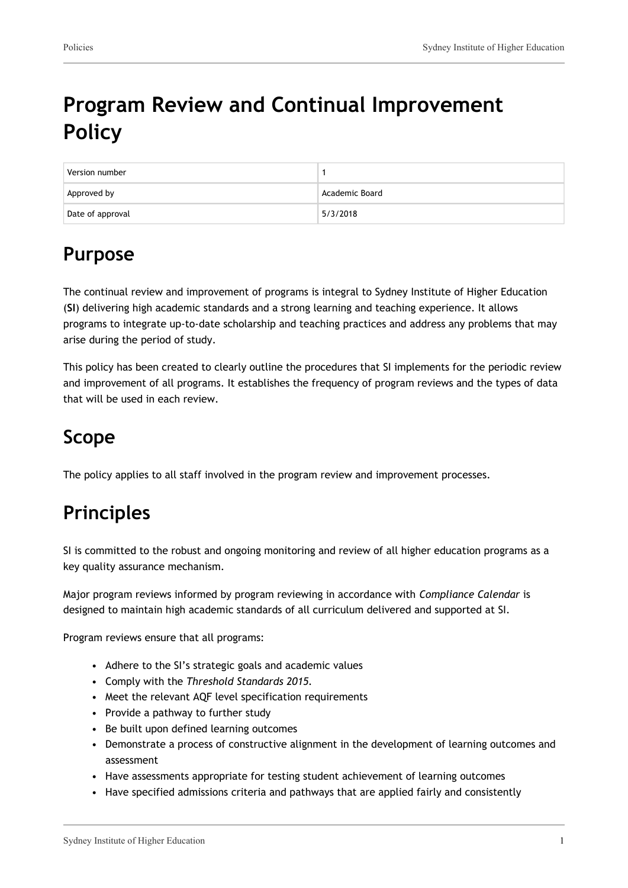# **Program Review and Continual Improvement Policy**

| Version number   |                |
|------------------|----------------|
| Approved by      | Academic Board |
| Date of approval | 5/3/2018       |

## **Purpose**

The continual review and improvement of programs is integral to Sydney Institute of Higher Education (**SI**) delivering high academic standards and a strong learning and teaching experience. It allows programs to integrate up-to-date scholarship and teaching practices and address any problems that may arise during the period of study.

This policy has been created to clearly outline the procedures that SI implements for the periodic review and improvement of all programs. It establishes the frequency of program reviews and the types of data that will be used in each review.

## **Scope**

The policy applies to all staff involved in the program review and improvement processes.

## **Principles**

SI is committed to the robust and ongoing monitoring and review of all higher education programs as a key quality assurance mechanism.

Major program reviews informed by program reviewing in accordance with *Compliance Calendar* is designed to maintain high academic standards of all curriculum delivered and supported at SI.

Program reviews ensure that all programs:

- Adhere to the SI's strategic goals and academic values
- Comply with the *Threshold Standards 2015.*
- Meet the relevant AQF level specification requirements
- Provide a pathway to further study
- Be built upon defined learning outcomes
- Demonstrate a process of constructive alignment in the development of learning outcomes and assessment
- Have assessments appropriate for testing student achievement of learning outcomes
- Have specified admissions criteria and pathways that are applied fairly and consistently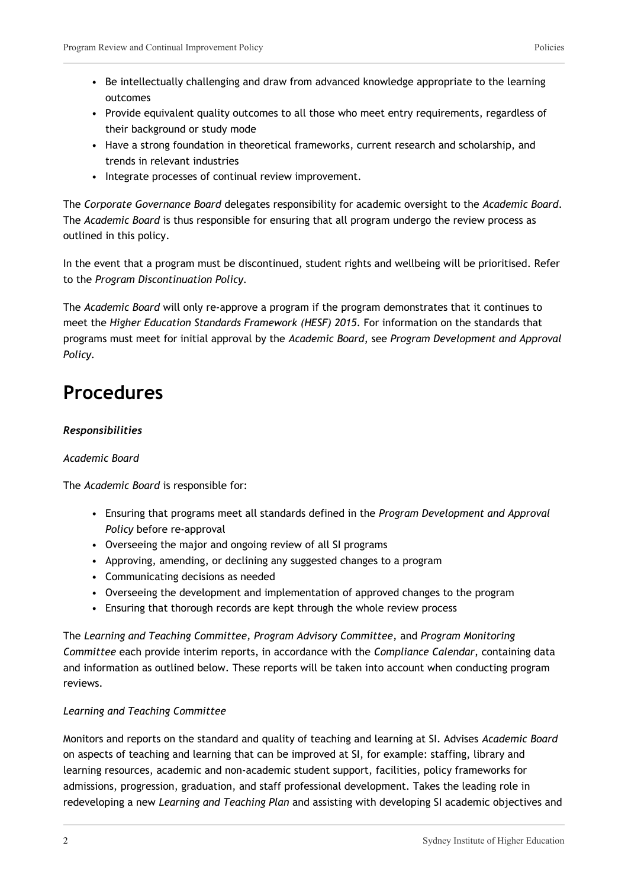- Be intellectually challenging and draw from advanced knowledge appropriate to the learning outcomes
- Provide equivalent quality outcomes to all those who meet entry requirements, regardless of their background or study mode
- Have a strong foundation in theoretical frameworks, current research and scholarship, and trends in relevant industries
- Integrate processes of continual review improvement.

The *Corporate Governance Board* delegates responsibility for academic oversight to the *Academic Board*. The *Academic Board* is thus responsible for ensuring that all program undergo the review process as outlined in this policy.

In the event that a program must be discontinued, student rights and wellbeing will be prioritised. Refer to the *Program Discontinuation Policy.*

The *Academic Board* will only re-approve a program if the program demonstrates that it continues to meet the *Higher Education Standards Framework (HESF) 2015*. For information on the standards that programs must meet for initial approval by the *Academic Board*, see *Program Development and Approval Policy.*

### **Procedures**

#### *Responsibilities*

#### *Academic Board*

The *Academic Board* is responsible for:

- Ensuring that programs meet all standards defined in the *Program Development and Approval Policy* before re-approval
- Overseeing the major and ongoing review of all SI programs
- Approving, amending, or declining any suggested changes to a program
- Communicating decisions as needed
- Overseeing the development and implementation of approved changes to the program
- Ensuring that thorough records are kept through the whole review process

The *Learning and Teaching Committee, Program Advisory Committee,* and *Program Monitoring Committee* each provide interim reports, in accordance with the *Compliance Calendar*, containing data and information as outlined below. These reports will be taken into account when conducting program reviews.

#### *Learning and Teaching Committee*

Monitors and reports on the standard and quality of teaching and learning at SI. Advises *Academic Board* on aspects of teaching and learning that can be improved at SI, for example: staffing, library and learning resources, academic and non-academic student support, facilities, policy frameworks for admissions, progression, graduation, and staff professional development. Takes the leading role in redeveloping a new *Learning and Teaching Plan* and assisting with developing SI academic objectives and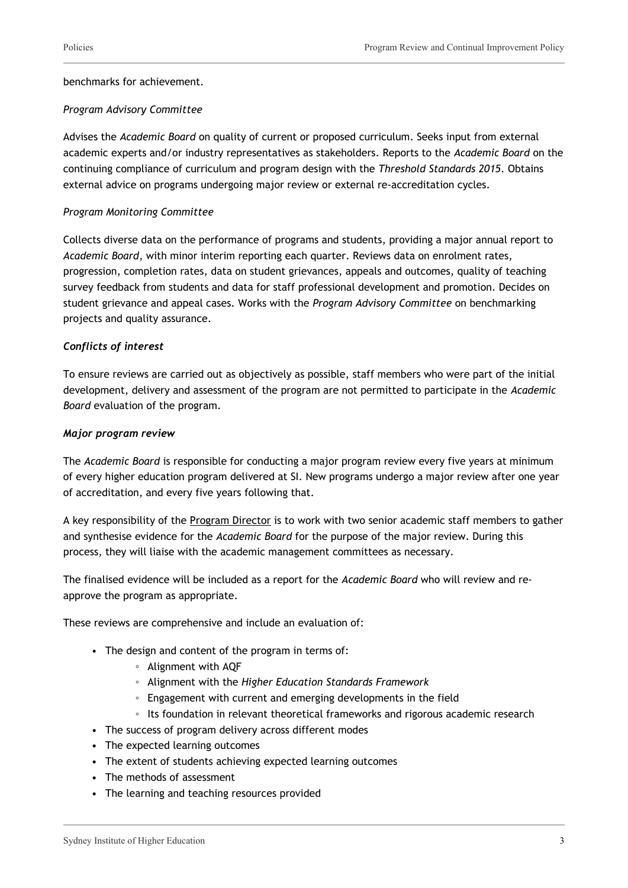benchmarks for achievement.

#### *Program Advisory Committee*

Advises the *Academic Board* on quality of current or proposed curriculum. Seeks input from external academic experts and/or industry representatives as stakeholders. Reports to the *Academic Board* on the continuing compliance of curriculum and program design with the *Threshold Standards 2015*. Obtains external advice on programs undergoing major review or external re-accreditation cycles.

#### *Program Monitoring Committee*

Collects diverse data on the performance of programs and students, providing a major annual report to *Academic Board*, with minor interim reporting each quarter. Reviews data on enrolment rates, progression, completion rates, data on student grievances, appeals and outcomes, quality of teaching survey feedback from students and data for staff professional development and promotion. Decides on student grievance and appeal cases. Works with the *Program Advisory Committee* on benchmarking projects and quality assurance.

#### *Conflicts of interest*

To ensure reviews are carried out as objectively as possible, staff members who were part of the initial development, delivery and assessment of the program are not permitted to participate in the *Academic Board* evaluation of the program.

#### *Major program review*

The *Academic Board* is responsible for conducting a major program review every five years at minimum of every higher education program delivered at SI. New programs undergo a major review after one year of accreditation, and every five years following that.

A key responsibility of the Program Director is to work with two senior academic staff members to gather and synthesise evidence for the *Academic Board* for the purpose of the major review. During this process, they will liaise with the academic management committees as necessary.

The finalised evidence will be included as a report for the *Academic Board* who will review and reapprove the program as appropriate.

These reviews are comprehensive and include an evaluation of:

- The design and content of the program in terms of:
	- Alignment with AQF
	- Alignment with the *Higher Education Standards Framework*
	- Engagement with current and emerging developments in the field
	- Its foundation in relevant theoretical frameworks and rigorous academic research
- The success of program delivery across different modes
- The expected learning outcomes
- The extent of students achieving expected learning outcomes
- The methods of assessment
- The learning and teaching resources provided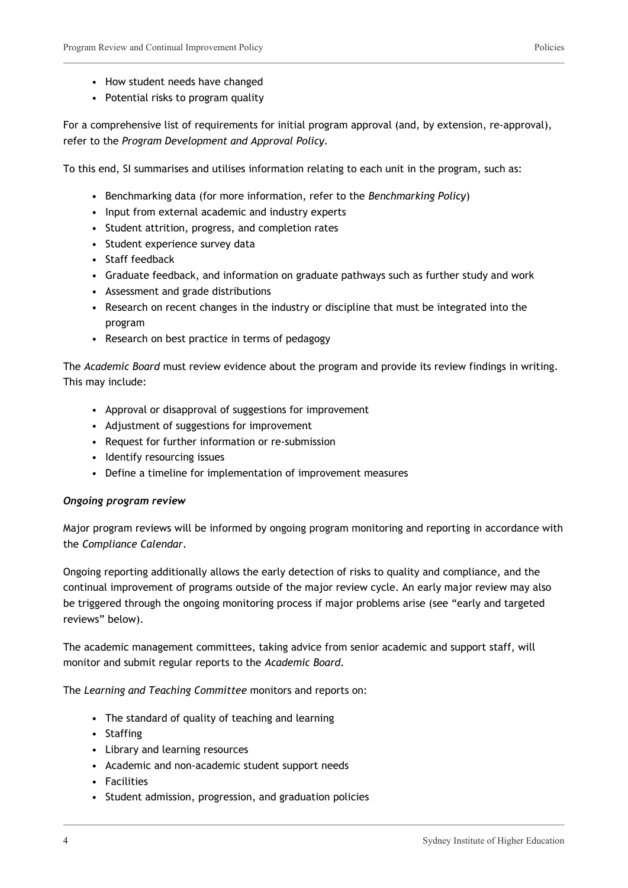- How student needs have changed
- Potential risks to program quality

For a comprehensive list of requirements for initial program approval (and, by extension, re-approval), refer to the *Program Development and Approval Policy.*

To this end, SI summarises and utilises information relating to each unit in the program, such as:

- Benchmarking data (for more information, refer to the *Benchmarking Policy*)
- Input from external academic and industry experts
- Student attrition, progress, and completion rates
- Student experience survey data
- Staff feedback
- Graduate feedback, and information on graduate pathways such as further study and work
- Assessment and grade distributions
- Research on recent changes in the industry or discipline that must be integrated into the program
- Research on best practice in terms of pedagogy

The *Academic Board* must review evidence about the program and provide its review findings in writing. This may include:

- Approval or disapproval of suggestions for improvement
- Adjustment of suggestions for improvement
- Request for further information or re-submission
- Identify resourcing issues
- Define a timeline for implementation of improvement measures

#### *Ongoing program review*

Major program reviews will be informed by ongoing program monitoring and reporting in accordance with the *Compliance Calendar*.

Ongoing reporting additionally allows the early detection of risks to quality and compliance, and the continual improvement of programs outside of the major review cycle. An early major review may also be triggered through the ongoing monitoring process if major problems arise (see "early and targeted reviews" below).

The academic management committees, taking advice from senior academic and support staff, will monitor and submit regular reports to the *Academic Board.*

The *Learning and Teaching Committee* monitors and reports on:

- The standard of quality of teaching and learning
- Staffing
- Library and learning resources
- Academic and non-academic student support needs
- Facilities
- Student admission, progression, and graduation policies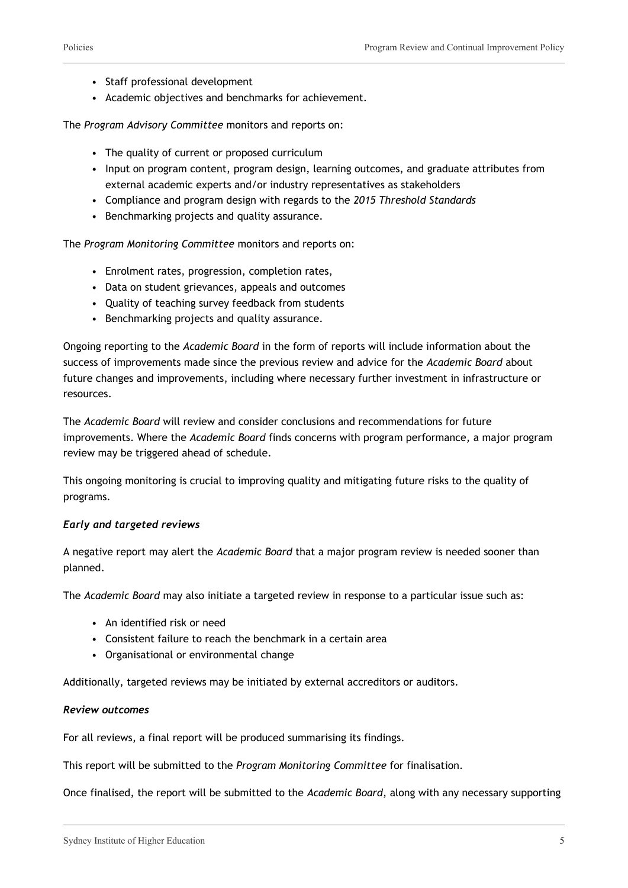- Staff professional development
- Academic objectives and benchmarks for achievement.

The *Program Advisory Committee* monitors and reports on:

- The quality of current or proposed curriculum
- Input on program content, program design, learning outcomes, and graduate attributes from external academic experts and/or industry representatives as stakeholders
- Compliance and program design with regards to the *2015 Threshold Standards*
- Benchmarking projects and quality assurance.

The *Program Monitoring Committee* monitors and reports on:

- Enrolment rates, progression, completion rates,
- Data on student grievances, appeals and outcomes
- Quality of teaching survey feedback from students
- Benchmarking projects and quality assurance.

Ongoing reporting to the *Academic Board* in the form of reports will include information about the success of improvements made since the previous review and advice for the *Academic Board* about future changes and improvements, including where necessary further investment in infrastructure or resources.

The *Academic Board* will review and consider conclusions and recommendations for future improvements. Where the *Academic Board* finds concerns with program performance, a major program review may be triggered ahead of schedule.

This ongoing monitoring is crucial to improving quality and mitigating future risks to the quality of programs.

#### *Early and targeted reviews*

A negative report may alert the *Academic Board* that a major program review is needed sooner than planned.

The *Academic Board* may also initiate a targeted review in response to a particular issue such as:

- An identified risk or need
- Consistent failure to reach the benchmark in a certain area
- Organisational or environmental change

Additionally, targeted reviews may be initiated by external accreditors or auditors.

#### *Review outcomes*

For all reviews, a final report will be produced summarising its findings.

This report will be submitted to the *Program Monitoring Committee* for finalisation.

Once finalised, the report will be submitted to the *Academic Board*, along with any necessary supporting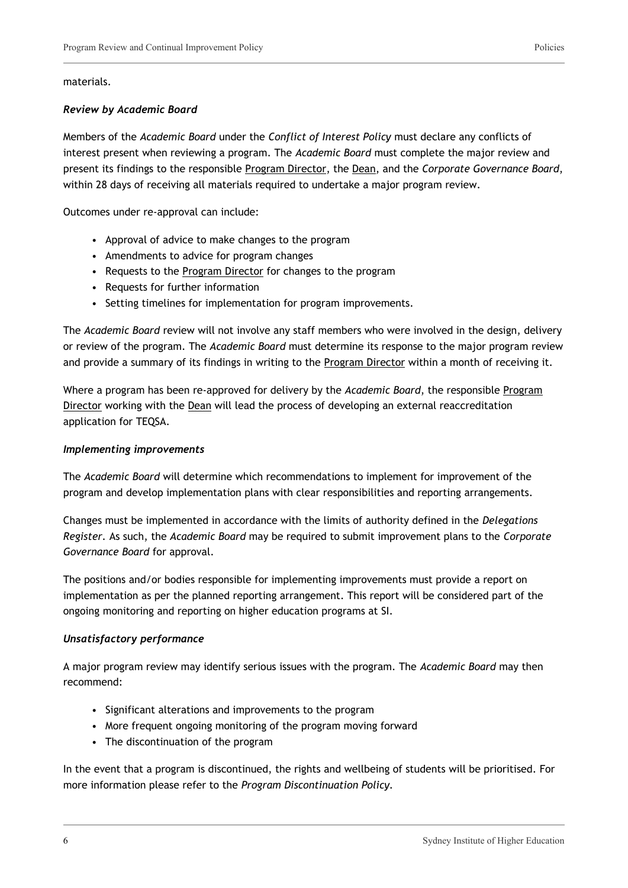#### materials.

#### *Review by Academic Board*

Members of the *Academic Board* under the *Conflict of Interest Policy* must declare any conflicts of interest present when reviewing a program. The *Academic Board* must complete the major review and present its findings to the responsible Program Director, the Dean, and the *Corporate Governance Board*, within 28 days of receiving all materials required to undertake a major program review.

Outcomes under re-approval can include:

- Approval of advice to make changes to the program
- Amendments to advice for program changes
- Requests to the Program Director for changes to the program
- Requests for further information
- Setting timelines for implementation for program improvements.

The *Academic Board* review will not involve any staff members who were involved in the design, delivery or review of the program. The *Academic Board* must determine its response to the major program review and provide a summary of its findings in writing to the Program Director within a month of receiving it.

Where a program has been re-approved for delivery by the *Academic Board*, the responsible Program Director working with the Dean will lead the process of developing an external reaccreditation application for TEQSA.

#### *Implementing improvements*

The *Academic Board* will determine which recommendations to implement for improvement of the program and develop implementation plans with clear responsibilities and reporting arrangements.

Changes must be implemented in accordance with the limits of authority defined in the *Delegations Register.* As such, the *Academic Board* may be required to submit improvement plans to the *Corporate Governance Board* for approval.

The positions and/or bodies responsible for implementing improvements must provide a report on implementation as per the planned reporting arrangement. This report will be considered part of the ongoing monitoring and reporting on higher education programs at SI.

#### *Unsatisfactory performance*

A major program review may identify serious issues with the program. The *Academic Board* may then recommend:

- Significant alterations and improvements to the program
- More frequent ongoing monitoring of the program moving forward
- The discontinuation of the program

In the event that a program is discontinued, the rights and wellbeing of students will be prioritised. For more information please refer to the *Program Discontinuation Policy.*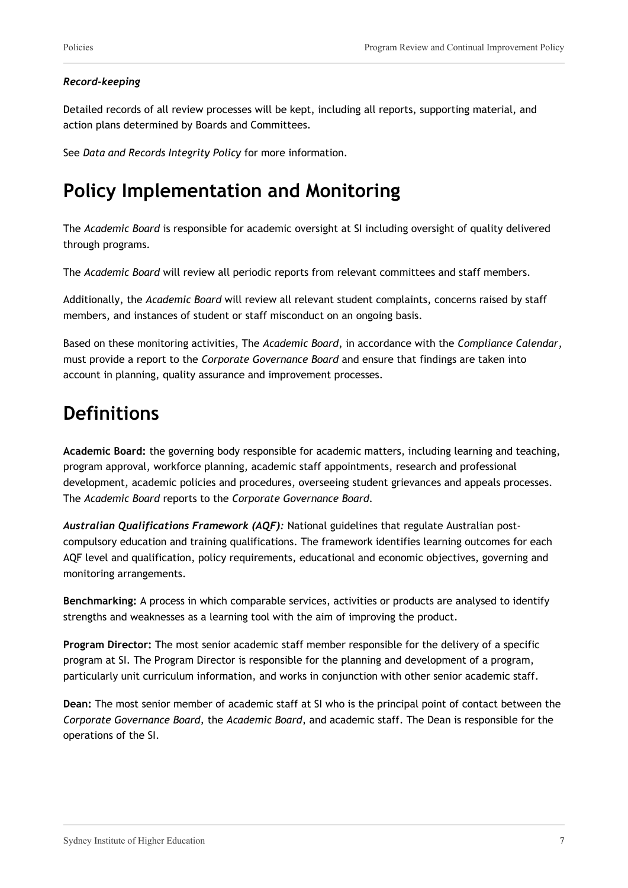#### *Record-keeping*

Detailed records of all review processes will be kept, including all reports, supporting material, and action plans determined by Boards and Committees.

See *Data and Records Integrity Policy* for more information.

## **Policy Implementation and Monitoring**

The *Academic Board* is responsible for academic oversight at SI including oversight of quality delivered through programs.

The *Academic Board* will review all periodic reports from relevant committees and staff members.

Additionally, the *Academic Board* will review all relevant student complaints, concerns raised by staff members, and instances of student or staff misconduct on an ongoing basis.

Based on these monitoring activities, The *Academic Board*, in accordance with the *Compliance Calendar*, must provide a report to the *Corporate Governance Board* and ensure that findings are taken into account in planning, quality assurance and improvement processes.

### **Definitions**

**Academic Board:** the governing body responsible for academic matters, including learning and teaching, program approval, workforce planning, academic staff appointments, research and professional development, academic policies and procedures, overseeing student grievances and appeals processes. The *Academic Board* reports to the *Corporate Governance Board.*

*Australian Qualifications Framework (AQF):* National guidelines that regulate Australian postcompulsory education and training qualifications. The framework identifies learning outcomes for each AQF level and qualification, policy requirements, educational and economic objectives, governing and monitoring arrangements.

**Benchmarking:** A process in which comparable services, activities or products are analysed to identify strengths and weaknesses as a learning tool with the aim of improving the product.

**Program Director:** The most senior academic staff member responsible for the delivery of a specific program at SI. The Program Director is responsible for the planning and development of a program, particularly unit curriculum information, and works in conjunction with other senior academic staff.

**Dean:** The most senior member of academic staff at SI who is the principal point of contact between the *Corporate Governance Board,* the *Academic Board*, and academic staff. The Dean is responsible for the operations of the SI.